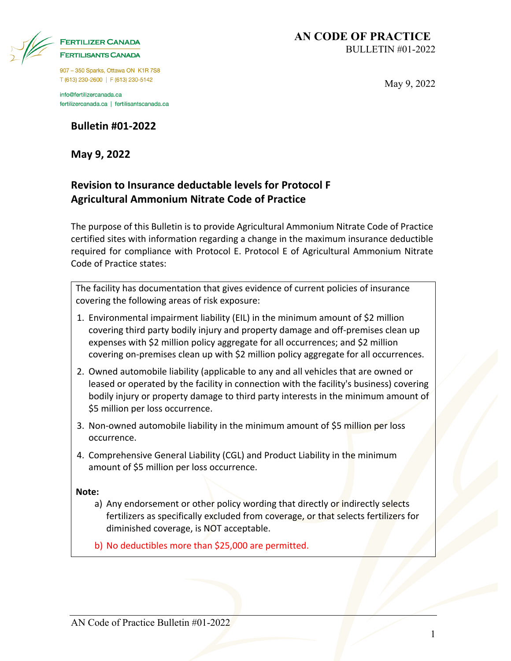| <b>FERTILIZER CANADA</b>   |
|----------------------------|
| <b>FERTILISANTS CANADA</b> |

907 - 350 Sparks, Ottawa ON K1R 7S8 T (613) 230-2600 | F (613) 230-5142

info@fertilizercanada.ca fertilizercanada.ca | fertilisantscanada.ca

**May 9, 2022**

### **Revision to Insurance deductable levels for Protocol F Agricultural Ammonium Nitrate Code of Practice**

The purpose of this Bulletin is to provide Agricultural Ammonium Nitrate Code of Practice certified sites with information regarding a change in the maximum insurance deductible required for compliance with Protocol E. Protocol E of Agricultural Ammonium Nitrate Code of Practice states:

The facility has documentation that gives evidence of current policies of insurance covering the following areas of risk exposure:

- 1. Environmental impairment liability (EIL) in the minimum amount of \$2 million covering third party bodily injury and property damage and off-premises clean up expenses with \$2 million policy aggregate for all occurrences; and \$2 million covering on-premises clean up with \$2 million policy aggregate for all occurrences.
- 2. Owned automobile liability (applicable to any and all vehicles that are owned or leased or operated by the facility in connection with the facility's business) covering bodily injury or property damage to third party interests in the minimum amount of \$5 million per loss occurrence.
- 3. Non-owned automobile liability in the minimum amount of \$5 million per loss occurrence.
- 4. Comprehensive General Liability (CGL) and Product Liability in the minimum amount of \$5 million per loss occurrence.

#### **Note:**

- a) Any endorsement or other policy wording that directly or indirectly selects fertilizers as specifically excluded from coverage, or that selects fertilizers for diminished coverage, is NOT acceptable.
- b) No deductibles more than \$25,000 are permitted.

May 9, 2022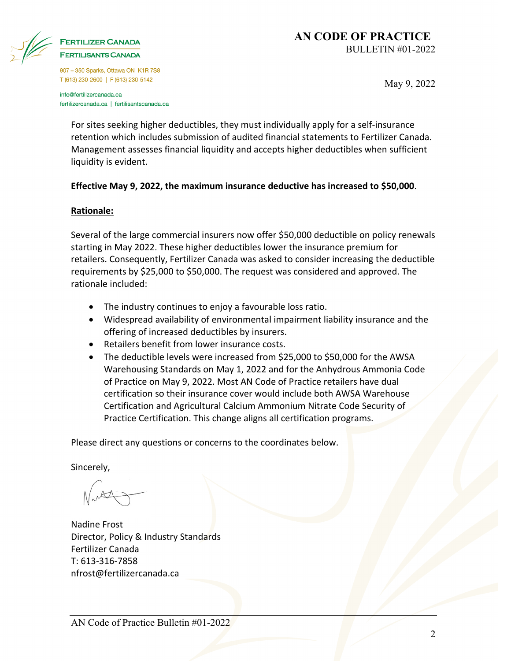

# **FERTILISANTS CANADA**

907 - 350 Sparks, Ottawa ON K1R 7S8 T (613) 230-2600 | F (613) 230-5142

info@fertilizercanada.ca fertilizercanada.ca | fertilisantscanada.ca May 9, 2022

For sites seeking higher deductibles, they must individually apply for a self-insurance retention which includes submission of audited financial statements to Fertilizer Canada. Management assesses financial liquidity and accepts higher deductibles when sufficient liquidity is evident.

#### **Effective May 9, 2022, the maximum insurance deductive has increased to \$50,000**.

#### **Rationale:**

Several of the large commercial insurers now offer \$50,000 deductible on policy renewals starting in May 2022. These higher deductibles lower the insurance premium for retailers. Consequently, Fertilizer Canada was asked to consider increasing the deductible requirements by \$25,000 to \$50,000. The request was considered and approved. The rationale included:

- The industry continues to enjoy a favourable loss ratio.
- Widespread availability of environmental impairment liability insurance and the offering of increased deductibles by insurers.
- Retailers benefit from lower insurance costs.
- The deductible levels were increased from \$25,000 to \$50,000 for the AWSA Warehousing Standards on May 1, 2022 and for the Anhydrous Ammonia Code of Practice on May 9, 2022. Most AN Code of Practice retailers have dual certification so their insurance cover would include both AWSA Warehouse Certification and Agricultural Calcium Ammonium Nitrate Code Security of Practice Certification. This change aligns all certification programs.

Please direct any questions or concerns to the coordinates below.

Sincerely,

Nadine Frost Director, Policy & Industry Standards Fertilizer Canada T: 613-316-7858 nfrost@fertilizercanada.ca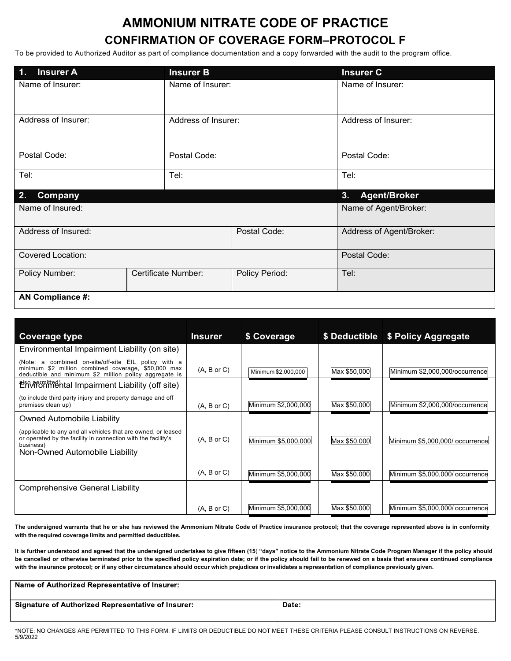## **AMMONIUM NITRATE CODE OF PRACTICE CONFIRMATION OF COVERAGE FORM–PROTOCOL F**

To be provided to Authorized Auditor as part of compliance documentation and a copy forwarded with the audit to the program office.

| <b>Insurer A</b><br>$\overline{1}$ . | <b>Insurer B</b>    |                | <b>Insurer C</b>          |  |
|--------------------------------------|---------------------|----------------|---------------------------|--|
| Name of Insurer:                     | Name of Insurer:    |                | Name of Insurer:          |  |
| Address of Insurer:                  | Address of Insurer: |                | Address of Insurer:       |  |
| Postal Code:                         | Postal Code:        |                | Postal Code:              |  |
| Tel:                                 | Tel:                |                | Tel:                      |  |
| 2.<br><b>Company</b>                 |                     |                | <b>Agent/Broker</b><br>3. |  |
| Name of Insured:                     |                     |                | Name of Agent/Broker:     |  |
| Address of Insured:                  |                     | Postal Code:   | Address of Agent/Broker:  |  |
| <b>Covered Location:</b>             |                     |                | Postal Code:              |  |
| Policy Number:                       | Certificate Number: | Policy Period: | Tel:                      |  |
| <b>AN Compliance #:</b>              |                     |                |                           |  |

| Coverage type                                                                                                                                                         | <b>Insurer</b> | \$ Coverage         |              | \$ Deductible \$ Policy Aggregate |
|-----------------------------------------------------------------------------------------------------------------------------------------------------------------------|----------------|---------------------|--------------|-----------------------------------|
| Environmental Impairment Liability (on site)                                                                                                                          |                |                     |              |                                   |
| (Note: a combined on-site/off-site EIL policy with a<br>minimum \$2 million combined coverage, \$50,000 max<br>deductible and minimum \$2 million policy aggregate is | (A, B or C)    | Minimum \$2,000,000 | Max \$50,000 | Minimum \$2,000,000/occurrence    |
| <b>EX-MP5 HTMP5 HTMP5 HTMP5 HTMP5 HTMP5 HTMP5 HTMP5 HTMP5 HTMP5 HTMP5 HTMP5 HTMP5 HTMP5 HTMP5 HTMP5 HTMP5 HTMP5 H</b>                                                 |                |                     |              |                                   |
| (to include third party injury and property damage and off<br>premises clean up)                                                                                      | (A, B or C)    | Minimum \$2,000,000 | Max \$50,000 | Minimum \$2,000,000/occurrence    |
| Owned Automobile Liability                                                                                                                                            |                |                     |              |                                   |
| (applicable to any and all vehicles that are owned, or leased<br>or operated by the facility in connection with the facility's<br>business'                           | (A, B or C)    | Minimum \$5,000,000 | Max \$50,000 | Minimum \$5,000,000/ occurrence   |
| Non-Owned Automobile Liability                                                                                                                                        |                |                     |              |                                   |
|                                                                                                                                                                       | (A, B or C)    | Minimum \$5,000,000 | Max \$50,000 | Minimum \$5,000,000/ occurrence   |
| Comprehensive General Liability                                                                                                                                       |                |                     |              |                                   |
|                                                                                                                                                                       | (A, B or C)    | Minimum \$5,000,000 | Max \$50,000 | Minimum \$5,000,000/ occurrence   |

The undersigned warrants that he or she has reviewed the Ammonium Nitrate Code of Practice insurance protocol; that the coverage represented above is in conformity **with the required coverage limits and permitted deductibles.**

**It is further understood and agreed that the undersigned undertakes to give fifteen (15**) **"days" notice to the Ammonium Nitrate Code Program Manager if the policy should**  be cancelled or otherwise terminated prior to the specified policy expiration date; or if the policy should fail to be renewed on a basis that ensures continued compliance with the insurance protocol; or if any other circumstance should occur which prejudices or invalidates a representation of compliance previously given.

Name of Authorized Representative of Insurer:

Signature of Authorized Representative of Insurer:

Date:

\*NOTE: NO CHANGES ARE PERMITTED TO THIS FORM. IF LIMITS OR DEDUCTIBLE DO NOT MEET THESE CRITERIA PLEASE CONSULT INSTRUCTIONS ON REVERSE. 5/9/2022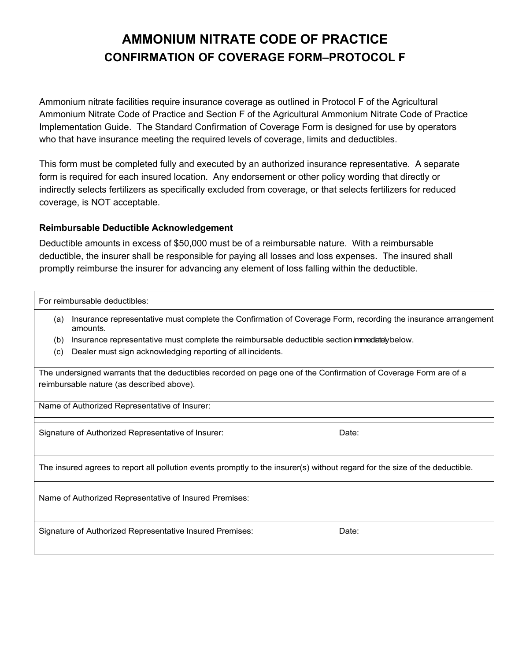## **AMMONIUM NITRATE CODE OF PRACTICE CONFIRMATION OF COVERAGE FORM–PROTOCOL F**

Ammonium nitrate facilities require insurance coverage as outlined in Protocol F of the Agricultural Ammonium Nitrate Code of Practice and Section F of the Agricultural Ammonium Nitrate Code of Practice Implementation Guide. The Standard Confirmation of Coverage Form is designed for use by operators who that have insurance meeting the required levels of coverage, limits and deductibles.

This form must be completed fully and executed by an authorized insurance representative. A separate form is required for each insured location. Any endorsement or other policy wording that directly or indirectly selects fertilizers as specifically excluded from coverage, or that selects fertilizers for reduced coverage, is NOT acceptable.

#### **Reimbursable Deductible Acknowledgement**

Deductible amounts in excess of \$50,000 must be of a reimbursable nature. With a reimbursable deductible, the insurer shall be responsible for paying all losses and loss expenses. The insured shall promptly reimburse the insurer for advancing any element of loss falling within the deductible.

For reimbursable deductibles:

- (a) Insurance representative must complete the Confirmation of Coverage Form, recording the insurance arrangement amounts.
- (b) Insurance representative must complete the reimbursable deductible section immediately below.
- (c) Dealer must sign acknowledging reporting of all incidents.

The undersigned warrants that the deductibles recorded on page one of the Confirmation of Coverage Form are of a reimbursable nature (as described above).

Name of Authorized Representative of Insurer:

Signature of Authorized Representative of Insurer: Date: Date:

The insured agrees to report all pollution events promptly to the insurer(s) without regard for the size of the deductible.

Name of Authorized Representative of Insured Premises:

Signature of Authorized Representative Insured Premises: Date: Date: